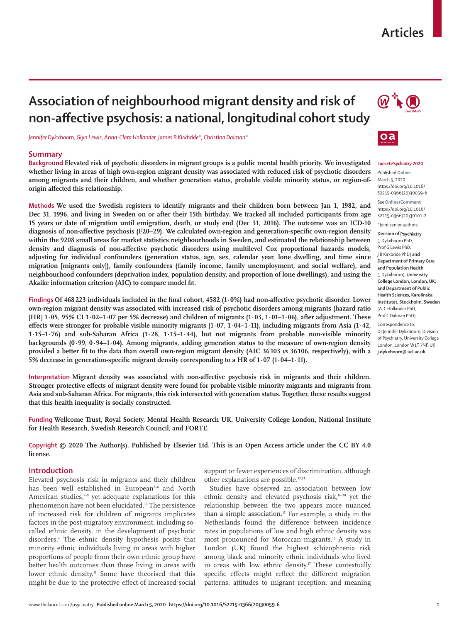# **Articles**

# **Association of neighbourhood migrant density and risk of non-affective psychosis: a national, longitudinal cohort study**

*Jennifer Dykxhoorn, Glyn Lewis, Anna-Clara Hollander, James B Kirkbride\*, Christina Dalman\**

#### **Summary**

**Background Elevated risk of psychotic disorders in migrant groups is a public mental health priority. We investigated whether living in areas of high own-region migrant density was associated with reduced risk of psychotic disorders among migrants and their children, and whether generation status, probable visible minority status, or region-oforigin affected this relationship.**

**Methods We used the Swedish registers to identify migrants and their children born between Jan 1, 1982, and Dec 31, 1996, and living in Sweden on or after their 15th birthday. We tracked all included participants from age 15 years or date of migration until emigration, death, or study end (Dec 31, 2016). The outcome was an ICD-10 diagnosis of non-affective psychosis (F20–29). We calculated own-region and generation-specific own-region density within the 9208 small areas for market statistics neighbourhoods in Sweden, and estimated the relationship between density and diagnosis of non-affective psychotic disorders using multilevel Cox proportional hazards models, adjusting for individual confounders (generation status, age, sex, calendar year, lone dwelling, and time since migration [migrants only]), family confounders (family income, family unemployment, and social welfare), and neighbourhood confounders (deprivation index, population density, and proportion of lone dwellings), and using the Akaike information criterion (AIC) to compare model fit.**

**Findings Of 468 223 individuals included in the final cohort, 4582 (1·0%) had non-affective psychotic disorder. Lower own-region migrant density was associated with increased risk of psychotic disorders among migrants (hazard ratio [HR] 1·05, 95% CI 1·02–1·07 per 5% decrease) and children of migrants (1·03, 1·01–1·06), after adjustment. These effects were stronger for probable visible minority migrants (1·07, 1·04–1·11), including migrants from Asia (1·42, 1·15–1·76) and sub-Saharan Africa (1·28, 1·15–1·44), but not migrants from probable non-visible minority backgrounds (0·99, 0·94–1·04). Among migrants, adding generation status to the measure of own-region density provided a better fit to the data than overall own-region migrant density (AIC 36103** *vs* **36 106, respectively), with a 5% decrease in generation-specific migrant density corresponding to a HR of 1·07 (1·04–1·11).**

**Interpretation Migrant density was associated with non-affective psychosis risk in migrants and their children. Stronger protective effects of migrant density were found for probable visible minority migrants and migrants from Asia and sub-Saharan Africa. For migrants, this risk intersected with generation status. Together, these results suggest that this health inequality is socially constructed.**

**Funding Wellcome Trust, Royal Society, Mental Health Research UK, University College London, National Institute for Health Research, Swedish Research Council, and FORTE.**

**Copyright © 2020 The Author(s). Published by Elsevier Ltd. This is an Open Access article under the CC BY 4.0 license.**

#### **Introduction**

Elevated psychosis risk in migrants and their children has been well established in European<sup>2-6</sup> and North American studies, $7-9$  yet adequate explanations for this phenomenon have not been elucidated.10 The persistence of increased risk for children of migrants implicates factors in the post-migratory environment, including socalled ethnic density, in the development of psychotic disorders.4 The ethnic density hypothesis posits that minority ethnic individuals living in areas with higher proportions of people from their own ethnic group have better health outcomes than those living in areas with lower ethnic density.<sup>11</sup> Some have theorised that this might be due to the protective effect of increased social

support or fewer experiences of discrimination, although other explanations are possible.12,13

Studies have observed an association between low ethnic density and elevated psychosis risk,<sup>14-20</sup> yet the relationship between the two appears more nuanced than a simple association.<sup>15</sup> For example, a study in the Netherlands found the difference between incidence rates in populations of low and high ethnic density was most pronounced for Moroccan migrants.15 A study in London (UK) found the highest schizophrenia risk among black and minority ethnic individuals who lived in areas with low ethnic density.<sup>17</sup> These contextually specific effects might reflect the different migration patterns, attitudes to migrant reception, and meaning





 $\alpha$ 

Published **Online** March 5, 2020 https://doi.org/10.1016/ S2215-0366(20)30059-6

See **Online/Comment** https://doi.org/10.1016/ S2215-0366(20)30101-2

\*Joint senior authors

**Division of Psychiatry**  (J Dykxhoorn PhD, Prof G Lewis PhD, J B Kirkbride PhD) **and Department of Primary Care and Population Health**  (J Dykxhoorn)**, University College London, London, UK; and Department of Public Health Sciences, Karolinska Institutet, Stockholm, Sweden** (A-C Hollander PhD, Prof C Dalman PhD)

Correspondence to: Dr Jennifer Dykxhoorn, Division of Psychiatry, University College London, London W1T 7NF, UK **j.dykxhoorn@ ucl.ac.uk**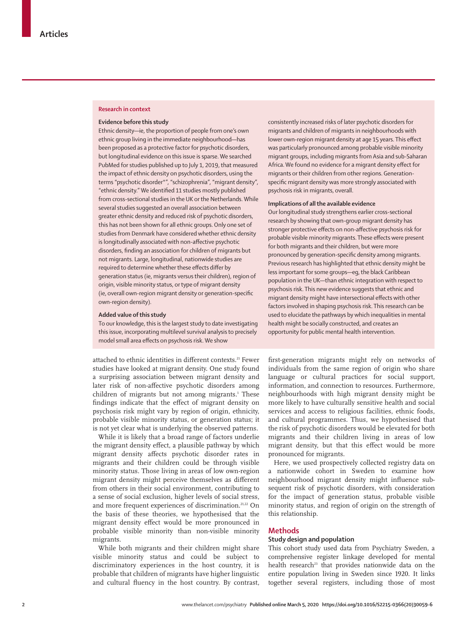#### **Research in context**

#### **Evidence before this study**

Ethnic density—ie, the proportion of people from one's own ethnic group living in the immediate neighbourhood—has been proposed as a protective factor for psychotic disorders, but longitudinal evidence on this issue is sparse. We searched PubMed for studies published up to July 1, 2019, that measured the impact of ethnic density on psychotic disorders, using the terms "psychotic disorder\*", "schizophrenia", "migrant density", "ethnic density." We identified 11 studies mostly published from cross-sectional studies in the UK or the Netherlands. While several studies suggested an overall association between greater ethnic density and reduced risk of psychotic disorders, this has not been shown for all ethnic groups. Only one set of studies from Denmark have considered whether ethnic density is longitudinally associated with non-affective psychotic disorders, finding an association for children of migrants but not migrants. Large, longitudinal, nationwide studies are required to determine whether these effects differ by generation status (ie, migrants versus their children), region of origin, visible minority status, or type of migrant density (ie, overall own-region migrant density or generation-specific own-region density).

#### **Added value of this study**

To our knowledge, this is the largest study to date investigating this issue, incorporating multilevel survival analysis to precisely model small area effects on psychosis risk. We show

attached to ethnic identities in different contexts.<sup>21</sup> Fewer studies have looked at migrant density. One study found a surprising association between migrant density and later risk of non-affective psychotic disorders among children of migrants but not among migrants.<sup>1</sup> These findings indicate that the effect of migrant density on psychosis risk might vary by region of origin, ethnicity, probable visible minority status, or generation status; it is not yet clear what is underlying the observed patterns.

While it is likely that a broad range of factors underlie the migrant density effect, a plausible pathway by which migrant density affects psychotic disorder rates in migrants and their children could be through visible minority status. Those living in areas of low own-region migrant density might perceive themselves as different from others in their social environment, contributing to a sense of social exclusion, higher levels of social stress, and more frequent experiences of discrimination.<sup>21,22</sup> On the basis of these theories, we hypothesised that the migrant density effect would be more pronounced in probable visible minority than non-visible minority migrants.

While both migrants and their children might share visible minority status and could be subject to discriminatory experiences in the host country, it is probable that children of migrants have higher linguistic and cultural fluency in the host country. By contrast, consistently increased risks of later psychotic disorders for migrants and children of migrants in neighbourhoods with lower own-region migrant density at age 15 years. This effect was particularly pronounced among probable visible minority migrant groups, including migrants from Asia and sub-Saharan Africa. We found no evidence for a migrant density effect for migrants or their children from other regions. Generationspecific migrant density was more strongly associated with psychosis risk in migrants, overall.

#### **Implications of all the available evidence**

Our longitudinal study strengthens earlier cross-sectional research by showing that own-group migrant density has stronger protective effects on non-affective psychosis risk for probable visible minority migrants. These effects were present for both migrants and their children, but were more pronounced by generation-specific density among migrants. Previous research has highlighted that ethnic density might be less important for some groups—eg, the black Caribbean population in the UK—than ethnic integration with respect to psychosis risk. This new evidence suggests that ethnic and migrant density might have intersectional effects with other factors involved in shaping psychosis risk. This research can be used to elucidate the pathways by which inequalities in mental health might be socially constructed, and creates an opportunity for public mental health intervention.

first-generation migrants might rely on networks of individuals from the same region of origin who share language or cultural practices for social support, information, and connection to resources. Furthermore, neighbourhoods with high migrant density might be more likely to have culturally sensitive health and social services and access to religious facilities, ethnic foods, and cultural programmes. Thus, we hypothesised that the risk of psychotic disorders would be elevated for both migrants and their children living in areas of low migrant density, but that this effect would be more pronounced for migrants.

Here, we used prospectively collected registry data on a nationwide cohort in Sweden to examine how neighbourhood migrant density might influence subsequent risk of psychotic disorders, with consideration for the impact of generation status, probable visible minority status, and region of origin on the strength of this relationship.

#### **Methods**

#### **Study design and population**

This cohort study used data from Psychiatry Sweden, a comprehensive register linkage developed for mental health research<sup>23</sup> that provides nationwide data on the entire population living in Sweden since 1920. It links together several registers, including those of most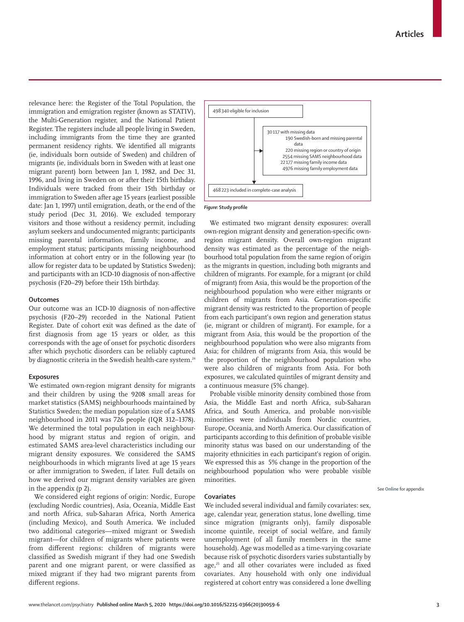relevance here: the Register of the Total Population, the immigration and emigration register (known as STATIV), the Multi-Generation register, and the National Patient Register. The registers include all people living in Sweden, including immigrants from the time they are granted permanent residency rights. We identified all migrants (ie, individuals born outside of Sweden) and children of migrants (ie, individuals born in Sweden with at least one migrant parent) born between Jan 1, 1982, and Dec 31, 1996, and living in Sweden on or after their 15th birthday. Individuals were tracked from their 15th birthday or immigration to Sweden after age 15 years (earliest possible date: Jan 1, 1997) until emigration, death, or the end of the study period (Dec 31, 2016). We excluded temporary visitors and those without a residency permit, including asylum seekers and undocumented migrants; participants missing parental information, family income, and employment status; participants missing neighbourhood information at cohort entry or in the following year (to allow for register data to be updated by Statistics Sweden); and participants with an ICD-10 diagnosis of non-affective psychosis (F20–29) before their 15th birthday.

### **Outcomes**

Our outcome was an ICD-10 diagnosis of non-affective psychosis (F20–29) recorded in the National Patient Register. Date of cohort exit was defined as the date of first diagnosis from age 15 years or older, as this corresponds with the age of onset for psychotic disorders after which psychotic disorders can be reliably captured by diagnostic criteria in the Swedish health-care system.<sup>24</sup>

### **Exposures**

We estimated own-region migrant density for migrants and their children by using the 9208 small areas for market statistics (SAMS) neighbourhoods maintained by Statistics Sweden; the median population size of a SAMS neighbourhood in 2011 was 726 people (IQR 312–1378). We determined the total population in each neighbourhood by migrant status and region of origin, and estimated SAMS area-level characteristics including our migrant density exposures. We considered the SAMS neighbourhoods in which migrants lived at age 15 years or after immigration to Sweden, if later. Full details on how we derived our migrant density variables are given in the appendix (p 2).

We considered eight regions of origin: Nordic, Europe (excluding Nordic countries), Asia, Oceania, Middle East and north Africa, sub-Saharan Africa, North America (including Mexico), and South America. We included two additional categories—mixed migrant or Swedish migrant—for children of migrants where patients were from different regions: children of migrants were classified as Swedish migrant if they had one Swedish parent and one migrant parent, or were classified as mixed migrant if they had two migrant parents from different regions.



#### *Figure:* **Study profile**

We estimated two migrant density exposures: overall own-region migrant density and generation-specific ownregion migrant density. Overall own-region migrant density was estimated as the percentage of the neighbourhood total population from the same region of origin as the migrants in question, including both migrants and children of migrants. For example, for a migrant (or child of migrant) from Asia, this would be the proportion of the neighbourhood population who were either migrants or children of migrants from Asia. Generation-specific migrant density was restricted to the proportion of people from each participant's own region and generation status (ie, migrant or children of migrant). For example, for a migrant from Asia, this would be the proportion of the neighbourhood population who were also migrants from Asia; for children of migrants from Asia, this would be the proportion of the neighbourhood population who were also children of migrants from Asia. For both exposures, we calculated quintiles of migrant density and a continuous measure (5% change).

Probable visible minority density combined those from Asia, the Middle East and north Africa, sub-Saharan Africa, and South America, and probable non-visible minorities were individuals from Nordic countries, Europe, Oceania, and North America. Our classification of participants according to this definition of probable visible minority status was based on our understanding of the majority ethnicities in each participant's region of origin. We expressed this as 5% change in the proportion of the neighbourhood population who were probable visible minorities.

See **Online** for appendix

#### **Covariates**

We included several individual and family covariates: sex, age, calendar year, generation status, lone dwelling, time since migration (migrants only), family disposable income quintile, receipt of social welfare, and family unemployment (of all family members in the same household). Age was modelled as a time-varying covariate because risk of psychotic disorders varies substantially by age,<sup>25</sup> and all other covariates were included as fixed covariates. Any household with only one individual registered at cohort entry was considered a lone dwelling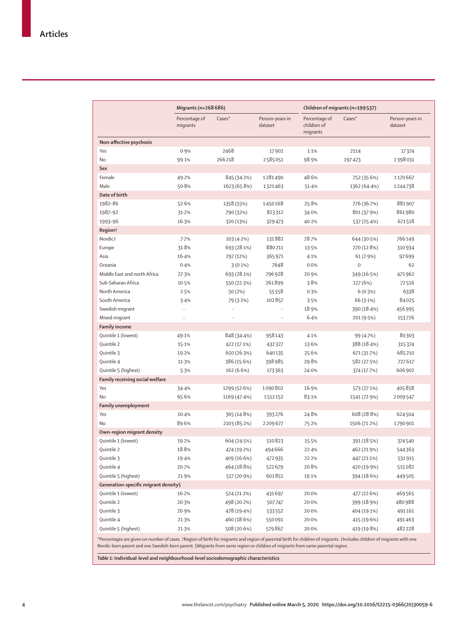|                                                                                                                                                                         | Migrants (n=268 686)      |              |                            | Children of migrants (n=199537)          |                     |                            |  |
|-------------------------------------------------------------------------------------------------------------------------------------------------------------------------|---------------------------|--------------|----------------------------|------------------------------------------|---------------------|----------------------------|--|
|                                                                                                                                                                         | Percentage of<br>migrants | Cases*       | Person-years in<br>dataset | Percentage of<br>children of<br>migrants | $\text{Cases}^*$    | Person-years in<br>dataset |  |
| Non-affective psychosis                                                                                                                                                 |                           |              |                            |                                          |                     |                            |  |
| Yes                                                                                                                                                                     | 0.9%                      | 2468         | 17902                      | 1.1%                                     | 2114                | 17374                      |  |
| No                                                                                                                                                                      | 99.1%                     | 266218       | 2585051                    | 98.9%                                    | 197423              | 2398031                    |  |
| Sex                                                                                                                                                                     |                           |              |                            |                                          |                     |                            |  |
| Female                                                                                                                                                                  | 49.2%                     | 845 (34.2%)  | 1281490                    | 48.6%                                    | 752 (35.6%)         | 1170667                    |  |
| Male                                                                                                                                                                    | 50.8%                     | 1623 (65.8%) | 1321463                    | 51.4%                                    | 1362 (64.4%)        | 1244738                    |  |
| Date of birth                                                                                                                                                           |                           |              |                            |                                          |                     |                            |  |
| 1982-86                                                                                                                                                                 | 52.6%                     | 1358 (55%)   | 1450168                    | 25.8%                                    | 776 (36.7%)         | 881907                     |  |
| 1987-92                                                                                                                                                                 | 31.2%                     | 790 (32%)    | 823312                     | 34.0%                                    | 801 (37.9%)         | 861980                     |  |
| 1993-96                                                                                                                                                                 | 16.3%                     | 320 (13%)    | 329473                     | 40.2%                                    | 537 (25.4%)         | 671518                     |  |
| Region <sup>†</sup>                                                                                                                                                     |                           |              |                            |                                          |                     |                            |  |
| Nordic‡                                                                                                                                                                 | 7.7%                      | 103 (4.2%)   | 131882                     | 28.7%                                    | 644 (30.5%)         | 766149                     |  |
| Europe                                                                                                                                                                  | 31.8%                     | 693 (28.1%)  | 880211                     | 13.5%                                    | 270 (12.8%)         | 310934                     |  |
| Asia                                                                                                                                                                    | 16.4%                     | 297 (12%)    | 365971                     | 4.1%                                     | 61(2.9%)            | 92699                      |  |
| Oceania                                                                                                                                                                 | 0.4%                      | $3(0.1\%)$   | 7648                       | 0.0%                                     | $\mathsf{O}\xspace$ | 62                         |  |
| Middle East and north Africa                                                                                                                                            | 27.3%                     | 693 (28.1%)  | 796928                     | 20.9%                                    | 349 (16.5%)         | 471962                     |  |
| Sub-Saharan Africa                                                                                                                                                      | 10.5%                     | 550 (22.3%)  | 261899                     | 3.8%                                     | 127 (6%)            | 72516                      |  |
| North America                                                                                                                                                           | 2.5%                      | 50 (2%)      | 55558                      | 0.3%                                     | 6(0.3%)             | 6338                       |  |
| South America                                                                                                                                                           | 3.4%                      | 79 (3.2%)    | 102857                     | 3.5%                                     | 66 (3.1%)           | 84025                      |  |
| Swedish migrant                                                                                                                                                         | $\ldots$                  | $\ddots$     | $\ldots$                   | 18.9%                                    | 390 (18.4%)         | 456995                     |  |
| Mixed migrant                                                                                                                                                           | $\ldots$                  | ٠.           |                            | 6.4%                                     | 201 (9.5%)          | 153726                     |  |
| <b>Family income</b>                                                                                                                                                    |                           |              |                            |                                          |                     |                            |  |
| Quintile 1 (lowest)                                                                                                                                                     | 49.1%                     | 848 (34.4%)  | 958143                     | 4.1%                                     | 99 (4.7%)           | 80303                      |  |
| Quintile 2                                                                                                                                                              | 15.1%                     | 422 (17.1%)  | 432327                     | 13.6%                                    | 388 (18.4%)         | 315374                     |  |
| Quintile 3                                                                                                                                                              | 19.2%                     | 650 (26.3%)  | 640135                     | 25.6%                                    | 671 (31.7%)         | 685210                     |  |
| Quintile 4                                                                                                                                                              | 11.3%                     | 386 (15.6%)  | 398985                     | 29.8%                                    | 582 (27.5%)         | 727617                     |  |
| Quintile 5 (highest)                                                                                                                                                    | 5.3%                      | 162(6.6%)    | 173363                     | 24.0%                                    | 374 (17.7%)         | 606 902                    |  |
| Family receiving social welfare                                                                                                                                         |                           |              |                            |                                          |                     |                            |  |
| Yes                                                                                                                                                                     | 34.4%                     | 1299 (52.6%) | 1090802                    | 16.9%                                    | 573 (27.1%)         | 405858                     |  |
| No                                                                                                                                                                      | 65.6%                     | 1169 (47.4%) | 1512152                    | 83.1%                                    | 1541 (72.9%)        | 2009547                    |  |
| <b>Family unemployment</b>                                                                                                                                              |                           |              |                            |                                          |                     |                            |  |
| Yes                                                                                                                                                                     | $10-4%$                   | 365 (14.8%)  | 393276                     | 24.8%                                    | 608 (28.8%)         | 624504                     |  |
| No                                                                                                                                                                      | 89.6%                     | 2103 (85.2%) | 2209677                    | 75.2%                                    | 1506 (71.2%)        | 1790901                    |  |
| Own-region migrant density                                                                                                                                              |                           |              |                            |                                          |                     |                            |  |
| Quintile 1 (lowest)                                                                                                                                                     | 19.2%                     | 604 (24.5%)  | 510823                     | 15.5%                                    | 391 (18.5%)         | 374540                     |  |
| Quintile 2                                                                                                                                                              | 18.8%                     | 474 (19.2%)  | 494666                     | 22.4%                                    | 462 (21.9%)         | 544363                     |  |
| Quintile 3                                                                                                                                                              | 19.4%                     | 409 (16.6%)  | 472935                     | 22.2%                                    | 447 (21.1%)         | 531915                     |  |
| Quintile 4                                                                                                                                                              | 20.7%                     | 464 (18.8%)  | 522679                     | 20.8%                                    | 420 (19.9%)         | 515082                     |  |
| Quintile 5 (highest)                                                                                                                                                    | 21.9%                     | 517 (20.9%)  | 601851                     | 19.1%                                    | 394 (18.6%)         | 449505                     |  |
| Generation-specific migrant density§                                                                                                                                    |                           |              |                            |                                          |                     |                            |  |
| Quintile 1 (lowest)                                                                                                                                                     | 16.2%                     | 524 (21.2%)  | 431697                     | 20.0%                                    | 477 (22.6%)         | 469565                     |  |
| Quintile 2                                                                                                                                                              | 20.3%                     | 498 (20-2%)  | 507747                     | 20.0%                                    | 399 (18.9%)         | 480988                     |  |
| Quintile 3                                                                                                                                                              | 20.9%                     | 478 (19.4%)  | 533552                     | 20.0%                                    | 404 (19.1%)         | 491161                     |  |
| Quintile 4                                                                                                                                                              | 21.3%                     | 460 (18.6%)  | 550091                     | 20.0%                                    | 415 (19.6%)         | 491463                     |  |
| Quintile 5 (highest)                                                                                                                                                    | 21.3%                     | 508 (20.6%)  | 579867                     | 20.0%                                    | 419 (19.8%)         | 482228                     |  |
| *Percentages are given on number of cases. †Region of birth for migrants and region of parental birth for children of migrants. ‡Includes children of migrants with one |                           |              |                            |                                          |                     |                            |  |

Nordic-born parent and one Swedish-born parent. §Migrants from same region or children of migrants from same parental region.

*Table 1:* **Individual-level and neighbourhood-level sociodemographic characteristics**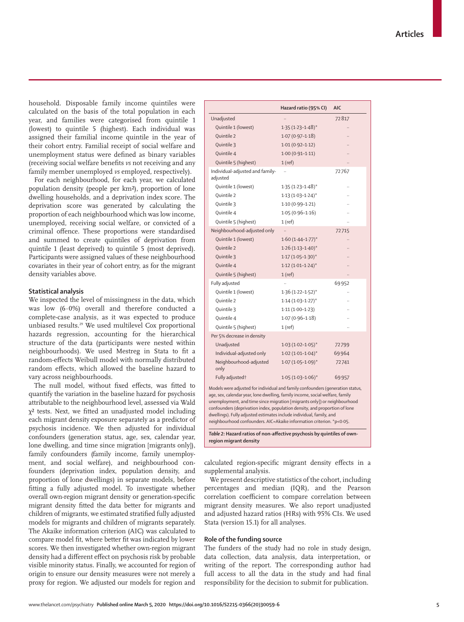household. Disposable family income quintiles were calculated on the basis of the total population in each year, and families were categorised from quintile 1 (lowest) to quintile 5 (highest). Each individual was assigned their familial income quintile in the year of their cohort entry. Familial receipt of social welfare and unemployment status were defined as binary variables (receiving social welfare benefits *vs* not receiving and any family member unemployed *vs* employed, respectively).

For each neighbourhood, for each year, we calculated population density (people per km²), proportion of lone dwelling households, and a deprivation index score. The deprivation score was generated by calculating the proportion of each neighbourhood which was low income, unemployed, receiving social welfare, or convicted of a criminal offence. These proportions were standardised and summed to create quintiles of deprivation from quintile 1 (least deprived) to quintile 5 (most deprived). Participants were assigned values of these neighbourhood covariates in their year of cohort entry, as for the migrant density variables above.

## **Statistical analysis**

We inspected the level of missingness in the data, which was low (6·0%) overall and therefore conducted a complete-case analysis, as it was expected to produce unbiased results.29 We used multilevel Cox proportional hazards regression, accounting for the hierarchical structure of the data (participants were nested within neighbourhoods). We used Mestreg in Stata to fit a random-effects Weibull model with normally distributed random effects, which allowed the baseline hazard to vary across neighbourhoods.

The null model, without fixed effects, was fitted to quantify the variation in the baseline hazard for psychosis attributable to the neighbourhood level, assessed via Wald χ² tests. Next, we fitted an unadjusted model including each migrant density exposure separately as a predictor of psychosis incidence. We then adjusted for individual confounders (generation status, age, sex, calendar year, lone dwelling, and time since migration [migrants only]), family confounders (family income, family unemployment, and social welfare), and neighbourhood confounders (deprivation index, population density, and proportion of lone dwellings) in separate models, before fitting a fully adjusted model. To investigate whether overall own-region migrant density or generation-specific migrant density fitted the data better for migrants and children of migrants, we estimated stratified fully adjusted models for migrants and children of migrants separately. The Akaike information criterion (AIC) was calculated to compare model fit, where better fit was indicated by lower scores. We then investigated whether own-region migrant density had a different effect on psychosis risk by probable visible minority status. Finally, we accounted for region of origin to ensure our density measures were not merely a proxy for region. We adjusted our models for region and

|                                                                                                                                                                                                                                                                                                                                                                                                                                                                            | Hazard ratio (95% CI)   | <b>AIC</b> |  |  |  |
|----------------------------------------------------------------------------------------------------------------------------------------------------------------------------------------------------------------------------------------------------------------------------------------------------------------------------------------------------------------------------------------------------------------------------------------------------------------------------|-------------------------|------------|--|--|--|
| Unadjusted                                                                                                                                                                                                                                                                                                                                                                                                                                                                 |                         | 72817      |  |  |  |
| Quintile 1 (lowest)                                                                                                                                                                                                                                                                                                                                                                                                                                                        | $1.35(1.23 - 1.48)^*$   |            |  |  |  |
| Ouintile 2                                                                                                                                                                                                                                                                                                                                                                                                                                                                 | $1.07(0.97 - 1.18)$     |            |  |  |  |
| Quintile 3                                                                                                                                                                                                                                                                                                                                                                                                                                                                 | $1.01(0.92 - 1.12)$     |            |  |  |  |
| Quintile 4                                                                                                                                                                                                                                                                                                                                                                                                                                                                 | $1.00(0.91 - 1.11)$     |            |  |  |  |
| Quintile 5 (highest)                                                                                                                                                                                                                                                                                                                                                                                                                                                       | 1(ref)                  |            |  |  |  |
| Individual-adjusted and family-<br>adjusted                                                                                                                                                                                                                                                                                                                                                                                                                                |                         | 72767      |  |  |  |
| Quintile 1 (lowest)                                                                                                                                                                                                                                                                                                                                                                                                                                                        | $1.35(1.23 - 1.48)^{*}$ |            |  |  |  |
| Quintile 2                                                                                                                                                                                                                                                                                                                                                                                                                                                                 | $1.13(1.03 - 1.24)^{*}$ |            |  |  |  |
| Quintile 3                                                                                                                                                                                                                                                                                                                                                                                                                                                                 | $1.10(0.99 - 1.21)$     |            |  |  |  |
| Quintile 4                                                                                                                                                                                                                                                                                                                                                                                                                                                                 | $1.05(0.96 - 1.16)$     |            |  |  |  |
| Quintile 5 (highest)                                                                                                                                                                                                                                                                                                                                                                                                                                                       | 1(ref)                  | $\ddotsc$  |  |  |  |
| Neighbourhood-adjusted only                                                                                                                                                                                                                                                                                                                                                                                                                                                |                         | 72715      |  |  |  |
| Quintile 1 (lowest)                                                                                                                                                                                                                                                                                                                                                                                                                                                        | $1.60(1.44 - 1.77)*$    |            |  |  |  |
| Quintile 2                                                                                                                                                                                                                                                                                                                                                                                                                                                                 | $1.26(1.13 - 1.40)^{*}$ |            |  |  |  |
| Quintile 3                                                                                                                                                                                                                                                                                                                                                                                                                                                                 | $1.17(1.05-1.30)^{*}$   |            |  |  |  |
| Quintile 4                                                                                                                                                                                                                                                                                                                                                                                                                                                                 | $1.12(1.01 - 1.24)^{*}$ |            |  |  |  |
| Quintile 5 (highest)                                                                                                                                                                                                                                                                                                                                                                                                                                                       | $1$ (ref)               |            |  |  |  |
| Fully adjusted                                                                                                                                                                                                                                                                                                                                                                                                                                                             | $\ddot{\phantom{a}}$    | 69952      |  |  |  |
| Quintile 1 (lowest)                                                                                                                                                                                                                                                                                                                                                                                                                                                        | $1.36(1.22 - 1.52)^{*}$ |            |  |  |  |
| Quintile 2                                                                                                                                                                                                                                                                                                                                                                                                                                                                 | $1.14(1.03 - 1.27)^{*}$ |            |  |  |  |
| Quintile 3                                                                                                                                                                                                                                                                                                                                                                                                                                                                 | $1.11(1.00-1.23)$       |            |  |  |  |
| Quintile 4                                                                                                                                                                                                                                                                                                                                                                                                                                                                 | $1.07(0.96 - 1.18)$     |            |  |  |  |
| Quintile 5 (highest)                                                                                                                                                                                                                                                                                                                                                                                                                                                       | 1(ref)                  |            |  |  |  |
| Per 5% decrease in density                                                                                                                                                                                                                                                                                                                                                                                                                                                 |                         |            |  |  |  |
| Unadjusted                                                                                                                                                                                                                                                                                                                                                                                                                                                                 | $1.03(1.02 - 1.05)^{*}$ | 72799      |  |  |  |
| Individual-adjusted only                                                                                                                                                                                                                                                                                                                                                                                                                                                   | $1.02 (1.01 - 1.04)^*$  | 69964      |  |  |  |
| Neighbourhood-adjusted<br>only                                                                                                                                                                                                                                                                                                                                                                                                                                             | $1.07(1.05 - 1.09)^{*}$ | 72741      |  |  |  |
| Fully adjusted <sup>+</sup>                                                                                                                                                                                                                                                                                                                                                                                                                                                | $1.05(1.03 - 1.06)^{*}$ | 69957      |  |  |  |
| Models were adjusted for individual and family confounders (generation status,<br>age, sex, calendar year, lone dwelling, family income, social welfare, family<br>unemployment, and time since migration [migrants only]) or neighbourhood<br>confounders (deprivation index, population density, and proportion of lone<br>dwellings). Fully adjusted estimates include individual, family, and<br>neighbourhood confounders. AIC=Akaike information criterion. *p<0.05. |                         |            |  |  |  |

calculated region-specific migrant density effects in a supplemental analysis.

We present descriptive statistics of the cohort, including percentages and median (IQR), and the Pearson correlation coefficient to compare correlation between migrant density measures. We also report unadjusted and adjusted hazard ratios (HRs) with 95% CIs. We used Stata (version 15.1) for all analyses.

#### **Role of the funding source**

**region migrant density**

The funders of the study had no role in study design, data collection, data analysis, data interpretation, or writing of the report. The corresponding author had full access to all the data in the study and had final responsibility for the decision to submit for publication.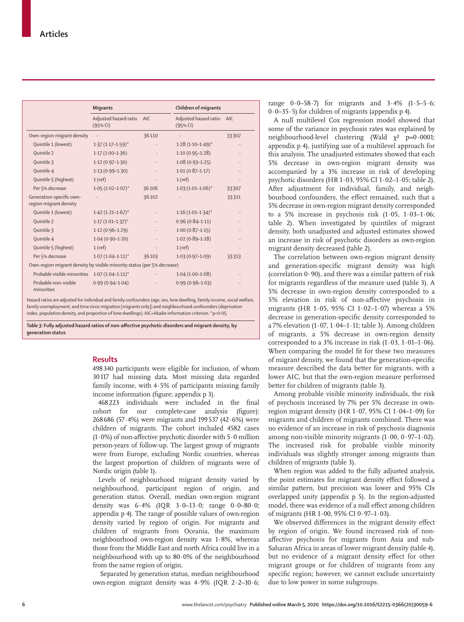|                                                                         | <b>Migrants</b>                     |           | <b>Children of migrants</b>       |       |  |  |
|-------------------------------------------------------------------------|-------------------------------------|-----------|-----------------------------------|-------|--|--|
|                                                                         | Adjusted hazard ratio<br>$(95%$ CI) | AIC       | Adjusted hazard ratio<br>(95% CI) | AIC.  |  |  |
| Own-region migrant density                                              | $\ddotsc$                           | 36110     | $\ldots$                          | 33307 |  |  |
| Quintile 1 (lowest)                                                     | $1.37(1.17 - 1.59)^{*}$             |           | $1.28(1.10-1.49)^{*}$             |       |  |  |
| Quintile 2                                                              | $1.17(1.00-1.36)$                   |           | $1.10(0.95 - 1.28)$               |       |  |  |
| Quintile 3                                                              | $1.12(0.97-1.30)$                   |           | $1.08(0.93 - 1.25)$               |       |  |  |
| Quintile 4                                                              | $1.13(0.99 - 1.30)$                 |           | $1.01(0.87 - 1.17)$               |       |  |  |
| Quintile 5 (highest)                                                    | $1$ (ref)                           |           | $1$ (ref)                         |       |  |  |
| Per 5% decrease                                                         | $1.05(1.02 - 1.07)^{*}$             | 36106     | $1.03(1.01-1.06)$ *               | 33307 |  |  |
| Generation-specific own-<br>region migrant density                      |                                     | 36102     | $\ldots$                          | 33311 |  |  |
| Quintile 1 (lowest)                                                     | $1.42$ $(1.21 - 1.67)^*$            | $\ldots$  | $1.16(1.01 - 1.34)^{*}$           |       |  |  |
| Quintile 2                                                              | $1.17(1.01 - 1.37)^{*}$             |           | $0.96(0.84 - 1.11)$               |       |  |  |
| Ouintile 3                                                              | $1.12(0.96-1.29)$                   |           | $1.00(0.87 - 1.15)$               |       |  |  |
| Quintile 4                                                              | $1.04(0.90 - 1.20)$                 | $\ldots$  | $1.02(0.89 - 1.18)$               |       |  |  |
| Quintile 5 (highest)                                                    | $1$ (ref)                           | $\cdot$ . | $1$ (ref)                         |       |  |  |
| Per 5% decrease                                                         | $1.07(1.04 - 1.11)^{*}$             | 36103     | $1.03(0.97 - 1.09)$               | 33313 |  |  |
| Own-region migrant density by visible minority status (per 5% decrease) |                                     |           |                                   |       |  |  |
| Probable visible minorities 1.07 (1.04-1.11)*                           |                                     |           | $1.04(1.00-1.08)$                 |       |  |  |
| Probable non-visible<br>minorities                                      | $0.99(0.94 - 1.04)$                 |           | $0.99(0.96 - 1.03)$               |       |  |  |

Hazard ratios are adjusted for individual and family confounders (age, sex, lone dwelling, family income, social welfare, family unemployment, and time since migration [migrants only]) and neighbourhood confounders (deprivation index, population density, and proportion of lone dwellings). AIC=Akaike information criterion. \*p<0·05.

*Table 3:* **Fully adjusted hazard ratios of non-affective psychotic disorders and migrant density, by generation status**

## **Results**

498340 participants were eligible for inclusion, of whom 30117 had missing data. Most missing data regarded family income, with 4·5% of participants missing family income information (figure; appendix p 3).

468223 individuals were included in the final cohort for our complete-case analysis (figure): 268686 (57·4%) were migrants and 199537 (42·6%) were children of migrants. The cohort included 4582 cases (1·0%) of non-affective psychotic disorder with 5·0 million person-years of follow-up. The largest group of migrants were from Europe, excluding Nordic countries, whereas the largest proportion of children of migrants were of Nordic origin (table 1).

Levels of neighbourhood migrant density varied by neighbourhood, participant region of origin, and generation status. Overall, median own-region migrant density was 6·4% (IQR 3·0–13·0; range 0·0–80·0; appendix p 4). The range of possible values of own-region density varied by region of origin. For migrants and children of migrants from Oceania, the maximum neighbourhood own-region density was 1·8%, whereas those from the Middle East and north Africa could live in a neighbourhood with up to 80·0% of the neighbourhood from the same region of origin.

 Separated by generation status, median neighbourhood own-region migrant density was 4·9% (IQR 2·2–10·6; range  $0.0-58.7$ ) for migrants and  $3.4\%$  (1.5-5.6;  $0.0-35.5$ ) for children of migrants (appendix p 4).

A null multilevel Cox regression model showed that some of the variance in psychosis rates was explained by neighbourhood-level clustering (Wald χ² p=0**·**0001; appendix p 4), justifying use of a multilevel approach for this analysis. The unadjusted estimates showed that each 5% decrease in own-region migrant density was accompanied by a 3% increase in risk of developing psychotic disorders (HR 1·03, 95% CI 1·02–1·05; table 2). After adjustment for individual, family, and neighbourhood confounders, the effect remained, such that a 5% decrease in own-region migrant density corresponded to a 5% increase in psychosis risk (1·05, 1·03–1·06; table 2). When investigated by quintiles of migrant density, both unadjusted and adjusted estimates showed an increase in risk of psychotic disorders as own-region migrant density decreased (table 2).

The correlation between own-region migrant density and generation-specific migrant density was high (correlation  $0.90$ ), and there was a similar pattern of risk for migrants regardless of the measure used (table 3). A 5% decrease in own-region density corresponded to a 5% elevation in risk of non-affective psychosis in migrants (HR 1·05, 95% CI 1·02–1·07) whereas a 5% decrease in generation-specific density corresponded to a 7% elevation (1·07, 1·04–1·11; table 3). Among children of migrants, a 5% decrease in own-region density corresponded to a 3% increase in risk  $(1.03, 1.01-1.06)$ . When comparing the model fit for these two measures of migrant density, we found that the generation-specific measure described the data better for migrants, with a lower AIC, but that the own-region measure performed better for children of migrants (table 3).

Among probable visible minority individuals, the risk of psychosis increased by 7% per 5% decrease in ownregion migrant density (HR  $1.07$ ,  $95\%$  CI  $1.04-1.09$ ) for migrants and children of migrants combined. There was no evidence of an increase in risk of psychosis diagnosis among non-visible minority migrants (1·00, 0·97–1·02). The increased risk for probable visible minority individuals was slightly stronger among migrants than children of migrants (table 3).

When region was added to the fully adjusted analysis, the point estimates for migrant density effect followed a similar pattern, but precision was lower and 95% CIs overlapped unity (appendix p 5). In the region-adjusted model, there was evidence of a null effect among children of migrants (HR 1·00, 95% CI 0·97–1·03).

We observed differences in the migrant density effect by region of origin. We found increased risk of nonaffective psychosis for migrants from Asia and sub-Saharan Africa in areas of lower migrant density (table 4), but no evidence of a migrant density effect for other migrant groups or for children of migrants from any specific region; however, we cannot exclude uncertainty due to low power in some subgroups.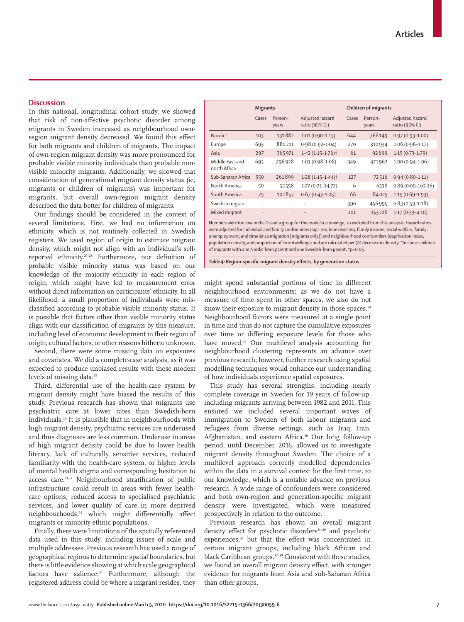### **Discussion**

In this national, longitudinal cohort study, we showed that risk of non-affective psychotic disorder among migrants in Sweden increased as neighbourhood ownregion migrant density decreased. We found this effect for both migrants and children of migrants. The impact of own-region migrant density was more pronounced for probable visible minority individuals than probable nonvisible minority migrants. Additionally, we showed that consideration of generational migrant density status (ie, migrants or children of migrants) was important for migrants, but overall own-region migrant density described the data better for children of migrants.

Our findings should be considered in the context of several limitations. First, we had no information on ethnicity, which is not routinely collected in Swedish registers. We used region of origin to estimate migrant density, which might not align with an individual's selfreported ethnicity.26–28 Furthermore, our definition of probable visible minority status was based on our knowledge of the majority ethnicity in each region of origin, which might have led to measurement error without direct information on participants' ethnicity. In all likelihood, a small proportion of individuals were misclassified according to probable visible minority status. It is possible that factors other than visible minority status align with our classification of migrants by this measure, including level of economic development in their region of origin, cultural factors, or other reasons hitherto unknown.

Second, there were some missing data on exposures and covariates. We did a complete-case analysis, as it was expected to produce unbiased results with these modest levels of missing data.<sup>29</sup>

Third, differential use of the health-care system by migrant density might have biased the results of this study. Previous research has shown that migrants use psychiatric care at lower rates than Swedish-born individuals.<sup>30</sup> It is plausible that in neighbourhoods with high migrant density, psychiatric services are underused and thus diagnoses are less common. Underuse in areas of high migrant density could be due to lower health literacy, lack of culturally sensitive services, reduced familiarity with the health-care system, or higher levels of mental health stigma and corresponding hesitation to access care.<sup>31,32</sup> Neighbourhood stratification of public infrastructure could result in areas with fewer healthcare options, reduced access to specialised psychiatric services, and lower quality of care in more deprived neighbourhoods,<sup>33</sup> which might differentially affect migrants or minority ethnic populations.

Finally, there were limitations of the spatially referenced data used in this study, including issues of scale and multiple addresses. Previous research has used a range of geographical regions to determine spatial boundaries, but there is little evidence showing at which scale geographical factors have salience.<sup>34</sup> Furthermore, although the registered address could be where a migrant resides, they

|                                 | <b>Migrants</b> |                      |                                   | Children of migrants |                  |                                   |
|---------------------------------|-----------------|----------------------|-----------------------------------|----------------------|------------------|-----------------------------------|
|                                 | Cases           | Person-<br>years     | Adjusted hazard<br>ratio (95% CI) | Cases                | Person-<br>years | Adjusted hazard<br>ratio (95% CI) |
| Nordic*                         | 103             | 131882               | $1.01(0.90 - 1.13)$               | 644                  | 766149           | $0.97(0.93 - 1.00)$               |
| Europe                          | 693             | 880211               | $0.98(0.92 - 1.04)$               | 270                  | 310934           | $1.06(0.96 - 1.17)$               |
| Asia                            | 297             | 365971               | $1.42(1.15 - 1.76)$ <sup>+</sup>  | 61                   | 92699            | $1.15(0.73 - 1.79)$               |
| Middle East and<br>north Africa | 693             | 796928               | $1.03(0.98 - 1.08)$               | 349                  | 471962           | $1.00(0.94 - 1.06)$               |
| Sub-Saharan Africa              | 550             | 261899               | $1.28(1.15 - 1.44)$               | 127                  | 72516            | $0.94(0.80 - 1.11)$               |
| North America                   | 50              | 55558                | $1.77(0.21 - 14.77)$              | 6                    | 6338             | $0.89(0.00-162.16)$               |
| South America                   | 79              | 102857               | $0.67(0.43 - 1.05)$               | 66                   | 84025            | $1.15(0.69-1.93)$                 |
| Swedish migrant                 | $\ddotsc$       |                      |                                   | 390                  | 456995           | $0.83(0.59 - 1.18)$               |
| Mixed migrant                   |                 | $\ddot{\phantom{a}}$ |                                   | 201                  | 153726           | $1.17(0.33 - 4.10)$               |

Numbers were too low in the Oceania group for the model to converge, so excluded from this analysis. Hazard ratios were adjusted for individual and family confounders (age, sex, lone dwelling, family income, social welfare, family unemployment, and time since migration [migrants only]) and neighbourhood confounders (deprivation index, population density, and proportion of lone dwellings) and are calculated per 5% decrease in density. \*Includes children of migrants with one Nordic-born parent and one Swedish-born parent. †p<0·05.

*Table 4:* **Region-specific migrant density effects, by generation status**

might spend substantial portions of time in different neighbourhood environments; as we do not have a measure of time spent in other spaces, we also do not know their exposure to migrant density in those spaces.<sup>34</sup> Neighbourhood factors were measured at a single point in time and thus do not capture the cumulative exposures over time or differing exposure levels for those who have moved.<sup>35</sup> Our multilevel analysis accounting for neighbourhood clustering represents an advance over previous research; however, further research using spatial modelling techniques would enhance our understanding of how individuals experience spatial exposures.

This study has several strengths, including nearly complete coverage in Sweden for 19 years of follow-up, including migrants arriving between 1982 and 2011. This ensured we included several important waves of immigration to Sweden of both labour migrants and refugees from diverse settings, such as Iraq, Iran, Afghanistan, and eastern Africa.<sup>36</sup> Our long follow-up period, until December, 2016, allowed us to investigate migrant density throughout Sweden. The choice of a multilevel approach correctly modelled dependencies within the data in a survival context for the first time, to our knowledge, which is a notable advance on previous research. A wide range of confounders were considered and both own-region and generation-specific migrant density were investigated, which were measured prospectively in relation to the outcome.

Previous research has shown an overall migrant density effect for psychotic disorders<sup>14-20</sup> and psychotic experiences,<sup>37</sup> but that the effect was concentrated in certain migrant groups, including black African and black Caribbean groups.37–39 Consistent with these studies, we found an overall migrant density effect, with stronger evidence for migrants from Asia and sub-Saharan Africa than other groups.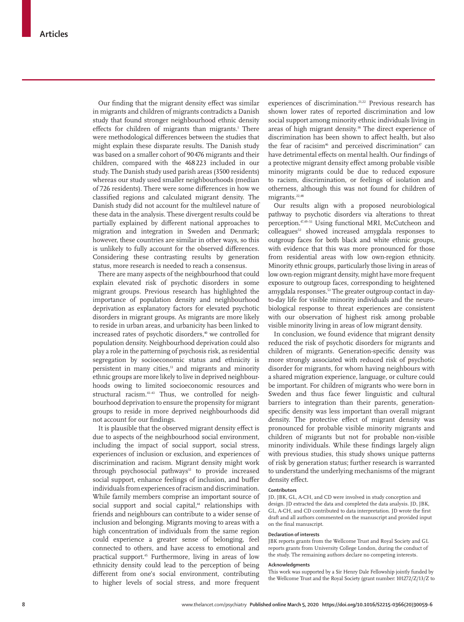Our finding that the migrant density effect was similar in migrants and children of migrants contradicts a Danish study that found stronger neighbourhood ethnic density effects for children of migrants than migrants.<sup>1</sup> There were methodological differences between the studies that might explain these disparate results. The Danish study was based on a smaller cohort of 90476 migrants and their children, compared with the 468223 included in our study. The Danish study used parish areas (3500 residents) whereas our study used smaller neighbourhoods (median of 726 residents). There were some differences in how we classified regions and calculated migrant density. The Danish study did not account for the multilevel nature of these data in the analysis. These divergent results could be partially explained by different national approaches to migration and integration in Sweden and Denmark; however, these countries are similar in other ways, so this is unlikely to fully account for the observed differences. Considering these contrasting results by generation status, more research is needed to reach a consensus.

There are many aspects of the neighbourhood that could explain elevated risk of psychotic disorders in some migrant groups. Previous research has highlighted the importance of population density and neighbourhood deprivation as explanatory factors for elevated psychotic disorders in migrant groups. As migrants are more likely to reside in urban areas, and urbanicity has been linked to increased rates of psychotic disorders,<sup>40</sup> we controlled for population density. Neighbourhood deprivation could also play a role in the patterning of psychosis risk, as residential segregation by socioeconomic status and ethnicity is persistent in many cities,<sup>13</sup> and migrants and minority ethnic groups are more likely to live in deprived neighbourhoods owing to limited socioeconomic resources and structural racism.<sup>41-43</sup> Thus, we controlled for neighbourhood deprivation to ensure the propensity for migrant groups to reside in more deprived neighbourhoods did not account for our findings.

It is plausible that the observed migrant density effect is due to aspects of the neighbourhood social environment, including the impact of social support, social stress, experiences of inclusion or exclusion, and experiences of discrimination and racism. Migrant density might work through psychosocial pathways $12$  to provide increased social support, enhance feelings of inclusion, and buffer individuals from experiences of racism and discrimination. While family members comprise an important source of social support and social capital,<sup>44</sup> relationships with friends and neighbours can contribute to a wider sense of inclusion and belonging. Migrants moving to areas with a high concentration of individuals from the same region could experience a greater sense of belonging, feel connected to others, and have access to emotional and practical support.<sup>45</sup> Furthermore, living in areas of low ethnicity density could lead to the perception of being different from one's social environment, contributing to higher levels of social stress, and more frequent

experiences of discrimination.<sup>21,22</sup> Previous research has shown lower rates of reported discrimination and low social support among minority ethnic individuals living in areas of high migrant density.<sup>38</sup> The direct experience of discrimination has been shown to affect health, but also the fear of racisim<sup>46</sup> and perceived discrimination<sup>47</sup> can have detrimental effects on mental health. Our findings of a protective migrant density effect among probable visible minority migrants could be due to reduced exposure to racism, discrimination, or feelings of isolation and otherness, although this was not found for children of migrants.<sup>22,48</sup>

Our results align with a proposed neurobiological pathway to psychotic disorders via alterations to threat perception.47,49–51 Using functional MRI, McCutcheon and colleagues<sup>52</sup> showed increased amygdala responses to outgroup faces for both black and white ethnic groups, with evidence that this was more pronounced for those from residential areas with low own-region ethnicity. Minority ethnic groups, particularly those living in areas of low own-region migrant density, might have more frequent exposure to outgroup faces, corresponding to heightened amygdala responses.53 The greater outgroup contact in dayto-day life for visible minority individuals and the neurobiological response to threat experiences are consistent with our observation of highest risk among probable visible minority living in areas of low migrant density.

In conclusion, we found evidence that migrant density reduced the risk of psychotic disorders for migrants and children of migrants. Generation-specific density was more strongly associated with reduced risk of psychotic disorder for migrants, for whom having neighbours with a shared migration experience, language, or culture could be important. For children of migrants who were born in Sweden and thus face fewer linguistic and cultural barriers to integration than their parents, generationspecific density was less important than overall migrant density. The protective effect of migrant density was pronounced for probable visible minority migrants and children of migrants but not for probable non-visible minority individuals. While these findings largely align with previous studies, this study shows unique patterns of risk by generation status; further research is warranted to understand the underlying mechanisms of the migrant density effect.

#### **Contributors**

JD, JBK, GL, A-CH, and CD were involved in study conception and design. JD extracted the data and completed the data analysis. JD, JBK, GL, A-CH, and CD contributed to data interpretation. JD wrote the first draft and all authors commented on the manuscript and provided input on the final manuscript.

#### **Declaration of interests**

JBK reports grants from the Wellcome Trust and Royal Society and GL reports grants from University College London, during the conduct of the study. The remaining authors declare no competing interests.

#### **Acknowledgments**

This work was supported by a Sir Henry Dale Fellowship jointly funded by the Wellcome Trust and the Royal Society (grant number: 101272/Z/13/Z to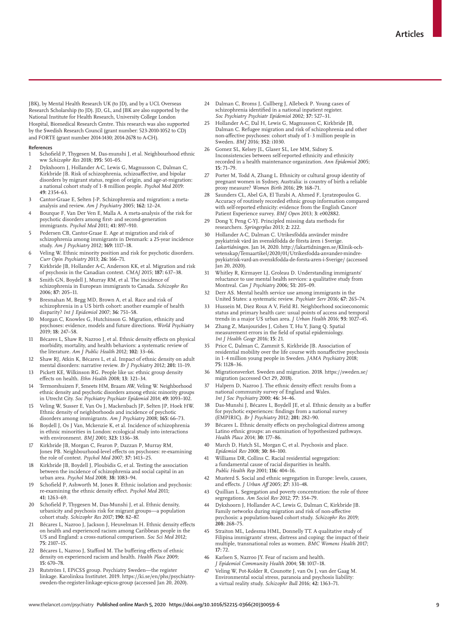JBK), by Mental Health Research UK (to JD), and by a UCL Overseas Research Scholarship (to JD). JD, GL, and JBK are also supported by the National Institute for Health Research, University College London Hospital, Biomedical Research Centre. This research was also supported by the Swedish Research Council (grant number: 523-2010-1052 to CD) and FORTE (grant number 2014-1430; 2014-2678 to A-CH).

#### **References**

- 1 Schofield P, Thygesen M, Das-munshi J, et al. Neighbourhood ethnic ww *Schizophr Res* 2018; **195:** 501–05.
- 2 Dykxhoorn J, Hollander A-C, Lewis G, Magnusson C, Dalman C, Kirkbride JB. Risk of schizophrenia, schizoaffective, and bipolar disorders by migrant status, region of origin, and age-at-migration: a national cohort study of 1·8 million people. *Psychol Med* 2019: **49:** 2354–63.
- 3 Cantor-Graae E, Selten J-P. Schizophrenia and migration: a metaanalysis and review. *Am J Psychiatry* 2005; **162:** 12–24.
- 4 Bourque F, Van Der Ven E, Malla A. A meta-analysis of the risk for psychotic disorders among first- and second-generation immigrants. *Psychol Med* 2011; **41:** 897–910.
- 5 Pedersen CB, Cantor-Graae E. Age at migration and risk of schizophrenia among immigrants in Denmark: a 25-year incidence study. *Am J Psychiatry* 2012; **169:** 1117–18.
- Veling W. Ethnic minority position and risk for psychotic disorders. *Curr Opin Psychiatry* 2013; **26:** 166–71.
- Kirkbride JB, Hollander A-C, Anderson KK, et al. Migration and risk of psychosis in the Canadian context. *CMAJ* 2015; **187:** 637–38.
- 8 Smith GN, Boydell J, Murray RM, et al. The incidence of schizophrenia in European immigrants to Canada. *Schizophr Res* 2006; **87:** 205–11.
- 9 Bresnahan M, Begg MD, Brown A, et al. Race and risk of schizophrenia in a US birth cohort: another example of health disparity? *Int J Epidemiol* 2007; **36:** 751–58.
- 10 Morgan C, Knowles G, Hutchinson G. Migration, ethnicity and psychoses: evidence, models and future directions. *World Psychiatry* 2019; **18:** 247–58.
- 11 Bécares L, Shaw R, Nazroo J, et al. Ethnic density effects on physical morbidity, mortality, and health behaviors: a systematic review of the literature. *Am J Public Health* 2012; **102:** 33–66.
- 12 Shaw RJ, Atkin K, Bécares L, et al. Impact of ethnic density on adult mental disorders: narrative review. *Br J Psychiatry* 2012; **201:** 11–19.
- 13 Pickett KE, Wilkinson RG. People like us: ethnic group density effects on health. *Ethn Health* 2008; **13:** 321–34.
- 14 Termorshuizen F, Smeets HM, Braam AW, Veling W. Neighborhood ethnic density and psychotic disorders among ethnic minority groups in Utrecht City. *Soc Psychiatry Psychiatr Epidemiol* 2014; **49:** 1093–102.
- Veling W, Susser E, Van Os J, Mackenbach JP, Selten JP, Hoek HW. Ethnic density of neighborhoods and incidence of psychotic disorders among immigrants. *Am J Psychiatry* 2008; **165:** 66–73.
- 16 Boydell J, Os J Van, Mckenzie K, et al. Incidence of schizophrenia in ethnic minorities in London: ecological study into interactions with environment. *BMJ* 2001; **323:** 1336–38.
- 17 Kirkbride JB, Morgan C, Fearon P, Dazzan P, Murray RM, Jones PB. Neighbourhood-level effects on psychoses: re-examining the role of context. *Psychol Med* 2007; **37:** 1413–25.
- 18 Kirkbride JB, Boydell J, Ploubidis G, et al. Testing the association between the incidence of schizophrenia and social capital in an urban area. *Psychol Med* 2008; **38:** 1083–94.
- Schofield P, Ashworth M, Jones R, Ethnic isolation and psychosis: re-examining the ethnic density effect. *Psychol Med* 2011; **41:** 1263–69.
- 20 Schofield P, Thygesen M, Das-Munshi J, et al. Ethnic density, urbanicity and psychosis risk for migrant groups—a population cohort study. *Schizophr Res* 2017; **190:** 82–87.
- 21 Bécares L, Nazroo J, Jackson J, Heuvelman H. Ethnic density effects on health and experienced racism among Caribbean people in the US and England: a cross-national comparison. *Soc Sci Med* 2012; **75:** 2107–15.
- 22 Bécares L, Nazroo J, Stafford M. The buffering effects of ethnic density on experienced racism and health. *Health Place* 2009; **15:** 670–78.
- 23 Rutström I, EPiCSS group. Psychiatry Sweden—the register linkage. Karolinksa Institutet. 2019. https://ki.se/en/phs/psychiatrysweden-the-register-linkage-epicss-group (accessed Jan 20, 2020).
- 24 Dalman C, Broms J, Cullberg J, Allebeck P. Young cases of schizophrenia identified in a national inpatient register. *Soc Psychiatry Psychiatr Epidemiol* 2002; **37:** 527–31.
- 25 Hollander A-C, Dal H, Lewis G, Magnusson C, Kirkbride JB, Dalman C. Refugee migration and risk of schizophrenia and other non-affective psychoses: cohort study of 1·3 million people in Sweden. *BMJ* 2016; **352:** i1030.
- 26 Gomez SL, Kelsey JL, Glaser SL, Lee MM, Sidney S. Inconsistencies between self-reported ethnicity and ethnicity recorded in a health maintenance organization. *Ann Epidemiol* 2005; **15:** 71–79.
- 27 Porter M, Todd A, Zhang L. Ethnicity or cultural group identity of pregnant women in Sydney, Australia: is country of birth a reliable proxy measure? *Women Birth* 2016; **29:** 168–71.
- Saunders CL, Abel GA, El Turabi A, Ahmed F, Lyratzopoulos G. Accuracy of routinely recorded ethnic group information compared with self-reported ethnicity: evidence from the English Cancer Patient Experience survey. *BMJ Open* 2013; **3:** e002882.
- 29 Dong Y, Peng C-YJ. Principled missing data methods for researchers. *Springerplus* 2013; **2:** 222.
- 30 Hollander A-C, Dalman C. Utrikesfödda använder mindre psykiatrisk vård än svenskfödda de första åren i Sverige. *Lakartidningen*. Jan 14, 2020. http://lakartidningen.se/Klinik-ochvetenskap/Temaartikel/2020/01/Utrikesfodda-anvander-mindrepsykiatrisk-vard-an-svenskfodda-de-forsta-aren-i-Sverige/ (accessed Jan 20, 2020).
- 31 Whitley R, Kirmayer LJ, Groleau D. Understanding immigrants' reluctance to use mental health services: a qualitative study from Montreal. *Can J Psychiatry* 2006; **51:** 205–09.
- 32 Derr AS. Mental health service use among immigrants in the United States: a systematic review. *Psychiatr Serv* 2016; **67:** 265–74.
- 33 Hussein M, Diez Roux A V, Field RI. Neighborhood socioeconomic status and primary health care: usual points of access and temporal trends in a major US urban area. *J Urban Health* 2016; **93:** 1027–45.
- 34 Zhang Z, Manjourides J, Cohen T, Hu Y, Jiang Q. Spatial measurement errors in the field of spatial epidemiology. *Int J Health Geogr* 2016; **15:** 21.
- Price C, Dalman C, Zammit S, Kirkbride JB. Association of residential mobility over the life course with nonaffective psychosis in 1·4 million young people in Sweden. *JAMA Psychiatry* 2018; **75:** 1128–36.
- 36 Migrationsverket. Sweden and migration. 2018. https://sweden.se/ migration (accessed Oct 29, 2018).
- Halpern D, Nazroo J. The ethnic density effect: results from a national community survey of England and Wales. *Int J Soc Psychiatry* 2000; **46:** 34–46.
- 38 Das-Munshi J, Bécares L, Boydell JE, et al. Ethnic density as a buffer for psychotic experiences: findings from a national survey (EMPIRIC). *Br J Psychiatry* 2012; **201:** 282–90.
- 39 Bécares L. Ethnic density effects on psychological distress among Latino ethnic groups: an examination of hypothesized pathways. *Health Place* 2014; **30:** 177–86.
- March D, Hatch SL, Morgan C, et al. Psychosis and place. *Epidemiol Rev* 2008; **30:** 84–100.
- 41 Williams DR, Collins C. Racial residential segregation: a fundamental cause of racial disparities in health. *Public Health Rep* 2001; **116:** 404–16.
- 42 Musterd S. Social and ethnic segregation in Europe: levels, causes, and effects. *J Urban Aff* 2005; **27:** 331–48.
- 43 Quillian L. Segregation and poverty concentration: the role of three segregations. *Am Sociol Rev* 2012; **77:** 354–79.
- 44 Dykxhoorn J, Hollander A-C, Lewis G, Dalman C, Kirkbride JB. Family networks during migration and risk of non-affective psychosis: a population-based cohort study. *Schizophr Res* 2019; **208:** 268–75.
- 45 Straiton ML, Ledesma HML, Donnelly TT. A qualitative study of Filipina immigrants' stress, distress and coping: the impact of their multiple, transnational roles as women. *BMC Womens Health* 2017; **17:** 72.
- 46 Karlsen S, Nazroo JY. Fear of racism and health.
- *J Epidemiol Community Health* 2004; **58:** 1017–18. 47 Veling W, Pot-Kolder R, Counotte J, van Os J, van der Gaag M. Environmental social stress, paranoia and psychosis liability: a virtual reality study. *Schizophr Bull* 2016; **42:** 1363–71.